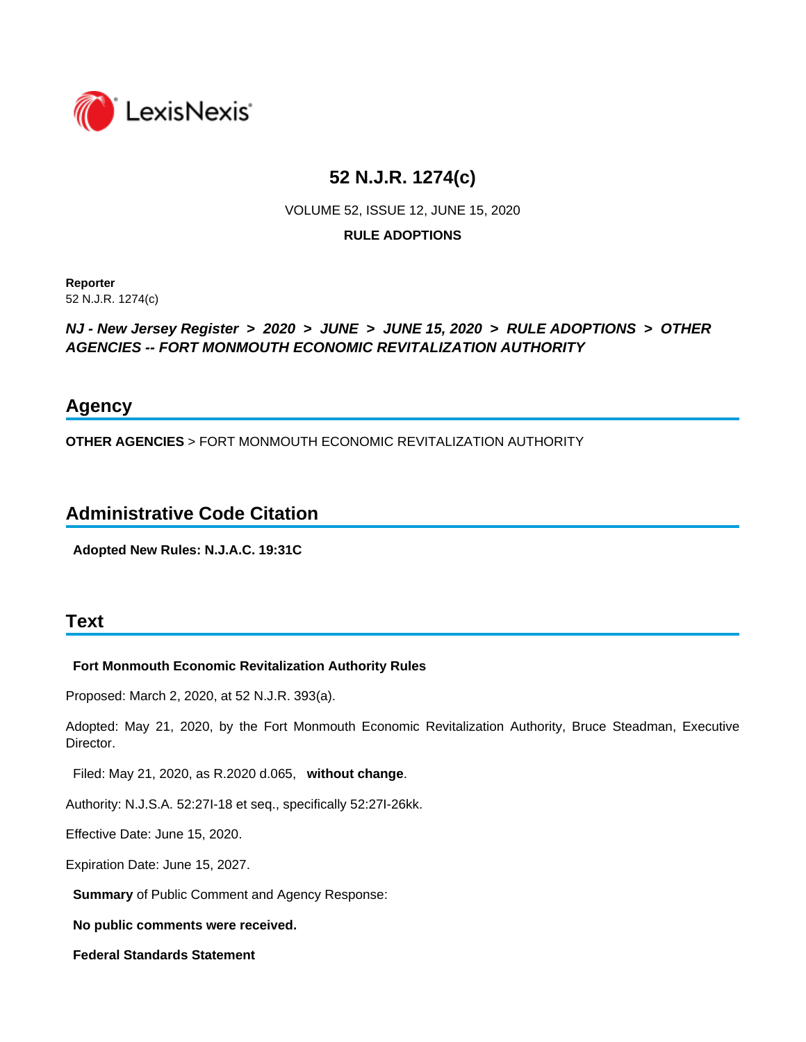

# **52 N.J.R. 1274(c)**

VOLUME 52, ISSUE 12, JUNE 15, 2020

#### **RULE ADOPTIONS**

**Reporter** 52 N.J.R. 1274(c)

#### *NJ - New Jersey Register* **>** *2020* **>** *JUNE* **>** *JUNE 15, 2020* **>** *RULE ADOPTIONS* **>** *OTHER AGENCIES -- FORT MONMOUTH ECONOMIC REVITALIZATION AUTHORITY*

## **Agency**

**OTHER AGENCIES** > FORT MONMOUTH ECONOMIC REVITALIZATION AUTHORITY

## **Administrative Code Citation**

**Adopted New Rules: N.J.A.C. 19:31C**

## **Text**

#### **Fort Monmouth Economic Revitalization Authority Rules**

Proposed: March 2, 2020, at 52 N.J.R. 393(a).

Adopted: May 21, 2020, by the Fort Monmouth Economic Revitalization Authority, Bruce Steadman, Executive Director.

Filed: May 21, 2020, as R.2020 d.065, **without change**.

Authority: N.J.S.A. 52:27I-18 et seq., specifically 52:27I-26kk.

Effective Date: June 15, 2020.

Expiration Date: June 15, 2027.

**Summary** of Public Comment and Agency Response:

**No public comments were received.**

**Federal Standards Statement**